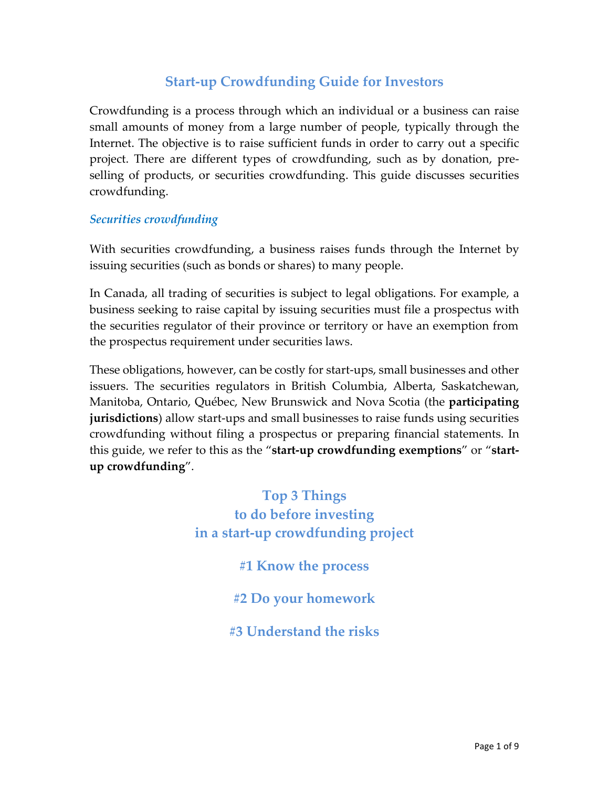# **Start-up Crowdfunding Guide for Investors**

Crowdfunding is a process through which an individual or a business can raise small amounts of money from a large number of people, typically through the Internet. The objective is to raise sufficient funds in order to carry out a specific project. There are different types of crowdfunding, such as by donation, preselling of products, or securities crowdfunding. This guide discusses securities crowdfunding.

#### *Securities crowdfunding*

With securities crowdfunding, a business raises funds through the Internet by issuing securities (such as bonds or shares) to many people.

In Canada, all trading of securities is subject to legal obligations. For example, a business seeking to raise capital by issuing securities must file a prospectus with the securities regulator of their province or territory or have an exemption from the prospectus requirement under securities laws.

These obligations, however, can be costly for start-ups, small businesses and other issuers. The securities regulators in British Columbia, Alberta, Saskatchewan, Manitoba, Ontario, Québec, New Brunswick and Nova Scotia (the **participating jurisdictions**) allow start-ups and small businesses to raise funds using securities crowdfunding without filing a prospectus or preparing financial statements. In this guide, we refer to this as the "**start-up crowdfunding exemptions**" or "**startup crowdfunding**".

> **Top 3 Things to do before investing in a start-up crowdfunding project**

> > **#1 Know the process**

**#2 Do your homework**

**#3 Understand the risks**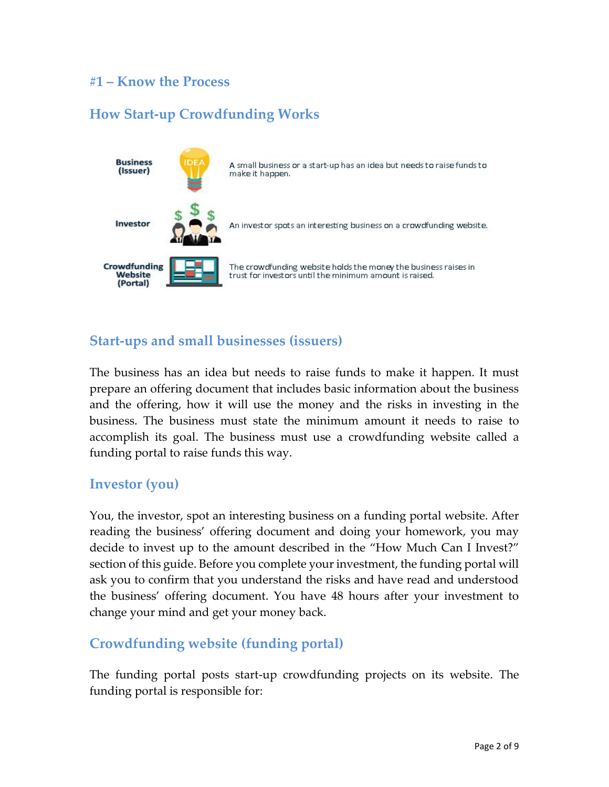## **#1 – Know the Process**

# **How Start-up Crowdfunding Works**



### **Start-ups and small businesses (issuers)**

The business has an idea but needs to raise funds to make it happen. It must prepare an offering document that includes basic information about the business and the offering, how it will use the money and the risks in investing in the business. The business must state the minimum amount it needs to raise to accomplish its goal. The business must use a crowdfunding website called a funding portal to raise funds this way.

#### **Investor (you)**

You, the investor, spot an interesting business on a funding portal website. After reading the business' offering document and doing your homework, you may decide to invest up to the amount described in the "How Much Can I Invest?" section of this guide. Before you complete your investment, the funding portal will ask you to confirm that you understand the risks and have read and understood the business' offering document. You have 48 hours after your investment to change your mind and get your money back.

### **Crowdfunding website (funding portal)**

The funding portal posts start-up crowdfunding projects on its website. The funding portal is responsible for: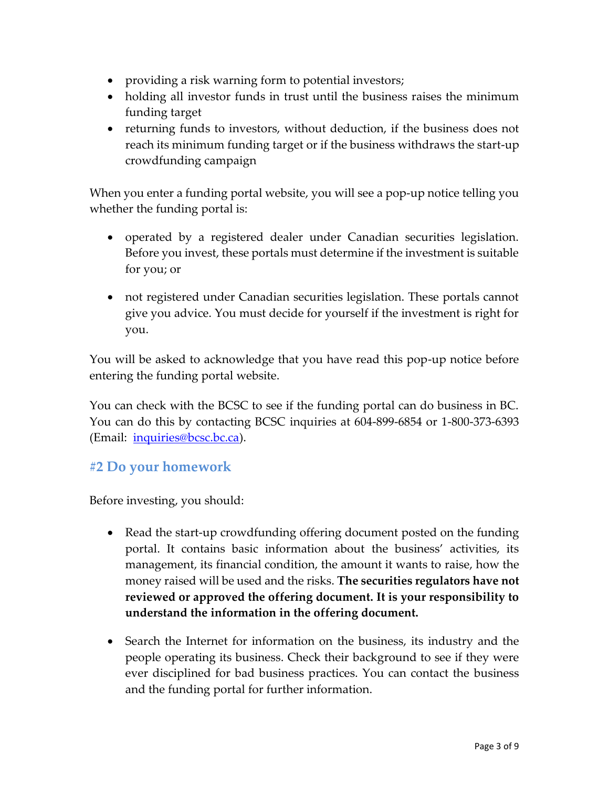- providing a risk warning form to potential investors;
- holding all investor funds in trust until the business raises the minimum funding target
- returning funds to investors, without deduction, if the business does not reach its minimum funding target or if the business withdraws the start-up crowdfunding campaign

When you enter a funding portal website, you will see a pop-up notice telling you whether the funding portal is:

- operated by a registered dealer under Canadian securities legislation. Before you invest, these portals must determine if the investment is suitable for you; or
- not registered under Canadian securities legislation. These portals cannot give you advice. You must decide for yourself if the investment is right for you.

You will be asked to acknowledge that you have read this pop-up notice before entering the funding portal website.

You can check with the BCSC to see if the funding portal can do business in BC. You can do this by contacting BCSC inquiries at 604-899-6854 or 1-800-373-6393 (Email: [inquiries@bcsc.bc.ca\)](mailto:inquiries@bcsc.bc.ca).

# **#2 Do your homework**

Before investing, you should:

- Read the start-up crowdfunding offering document posted on the funding portal. It contains basic information about the business' activities, its management, its financial condition, the amount it wants to raise, how the money raised will be used and the risks. **The securities regulators have not reviewed or approved the offering document. It is your responsibility to understand the information in the offering document.**
- Search the Internet for information on the business, its industry and the people operating its business. Check their background to see if they were ever disciplined for bad business practices. You can contact the business and the funding portal for further information.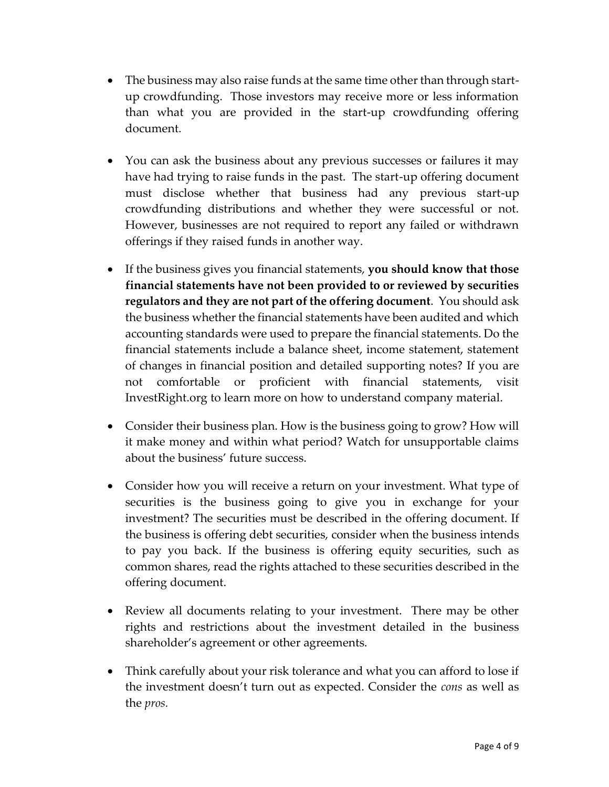- The business may also raise funds at the same time other than through startup crowdfunding. Those investors may receive more or less information than what you are provided in the start-up crowdfunding offering document.
- You can ask the business about any previous successes or failures it may have had trying to raise funds in the past. The start-up offering document must disclose whether that business had any previous start-up crowdfunding distributions and whether they were successful or not. However, businesses are not required to report any failed or withdrawn offerings if they raised funds in another way.
- If the business gives you financial statements, **you should know that those financial statements have not been provided to or reviewed by securities regulators and they are not part of the offering document**. You should ask the business whether the financial statements have been audited and which accounting standards were used to prepare the financial statements. Do the financial statements include a balance sheet, income statement, statement of changes in financial position and detailed supporting notes? If you are not comfortable or proficient with financial statements, visit InvestRight.org to learn more on how to understand company material.
- Consider their business plan. How is the business going to grow? How will it make money and within what period? Watch for unsupportable claims about the business' future success.
- Consider how you will receive a return on your investment. What type of securities is the business going to give you in exchange for your investment? The securities must be described in the offering document. If the business is offering debt securities, consider when the business intends to pay you back. If the business is offering equity securities, such as common shares, read the rights attached to these securities described in the offering document.
- Review all documents relating to your investment. There may be other rights and restrictions about the investment detailed in the business shareholder's agreement or other agreements.
- Think carefully about your risk tolerance and what you can afford to lose if the investment doesn't turn out as expected. Consider the *cons* as well as the *pros.*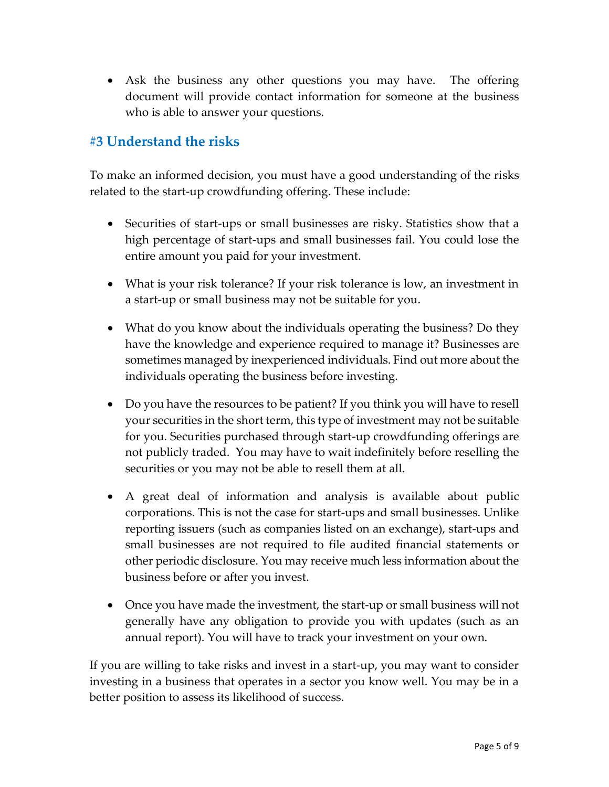Ask the business any other questions you may have. The offering document will provide contact information for someone at the business who is able to answer your questions.

# **#3 Understand the risks**

To make an informed decision, you must have a good understanding of the risks related to the start-up crowdfunding offering. These include:

- Securities of start-ups or small businesses are risky. Statistics show that a high percentage of start-ups and small businesses fail. You could lose the entire amount you paid for your investment.
- What is your risk tolerance? If your risk tolerance is low, an investment in a start-up or small business may not be suitable for you.
- What do you know about the individuals operating the business? Do they have the knowledge and experience required to manage it? Businesses are sometimes managed by inexperienced individuals. Find out more about the individuals operating the business before investing.
- Do you have the resources to be patient? If you think you will have to resell your securities in the short term, this type of investment may not be suitable for you. Securities purchased through start-up crowdfunding offerings are not publicly traded. You may have to wait indefinitely before reselling the securities or you may not be able to resell them at all.
- A great deal of information and analysis is available about public corporations. This is not the case for start-ups and small businesses. Unlike reporting issuers (such as companies listed on an exchange), start-ups and small businesses are not required to file audited financial statements or other periodic disclosure. You may receive much less information about the business before or after you invest.
- Once you have made the investment, the start-up or small business will not generally have any obligation to provide you with updates (such as an annual report). You will have to track your investment on your own.

If you are willing to take risks and invest in a start-up, you may want to consider investing in a business that operates in a sector you know well. You may be in a better position to assess its likelihood of success.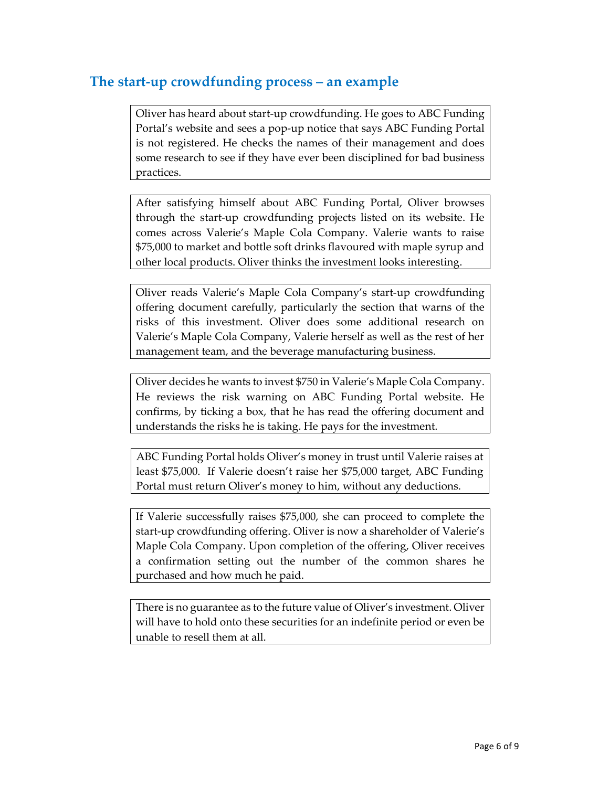## **The start-up crowdfunding process – an example**

Oliver has heard about start-up crowdfunding. He goes to ABC Funding Portal's website and sees a pop-up notice that says ABC Funding Portal is not registered. He checks the names of their management and does some research to see if they have ever been disciplined for bad business practices.

After satisfying himself about ABC Funding Portal, Oliver browses through the start-up crowdfunding projects listed on its website. He comes across Valerie's Maple Cola Company. Valerie wants to raise \$75,000 to market and bottle soft drinks flavoured with maple syrup and other local products. Oliver thinks the investment looks interesting.

Oliver reads Valerie's Maple Cola Company's start-up crowdfunding offering document carefully, particularly the section that warns of the risks of this investment. Oliver does some additional research on Valerie's Maple Cola Company, Valerie herself as well as the rest of her management team, and the beverage manufacturing business.

Oliver decides he wants to invest \$750 in Valerie's Maple Cola Company. He reviews the risk warning on ABC Funding Portal website. He confirms, by ticking a box, that he has read the offering document and understands the risks he is taking. He pays for the investment.

ABC Funding Portal holds Oliver's money in trust until Valerie raises at least \$75,000. If Valerie doesn't raise her \$75,000 target, ABC Funding Portal must return Oliver's money to him, without any deductions.

If Valerie successfully raises \$75,000, she can proceed to complete the start-up crowdfunding offering. Oliver is now a shareholder of Valerie's Maple Cola Company. Upon completion of the offering, Oliver receives a confirmation setting out the number of the common shares he purchased and how much he paid.

There is no guarantee as to the future value of Oliver's investment. Oliver will have to hold onto these securities for an indefinite period or even be unable to resell them at all.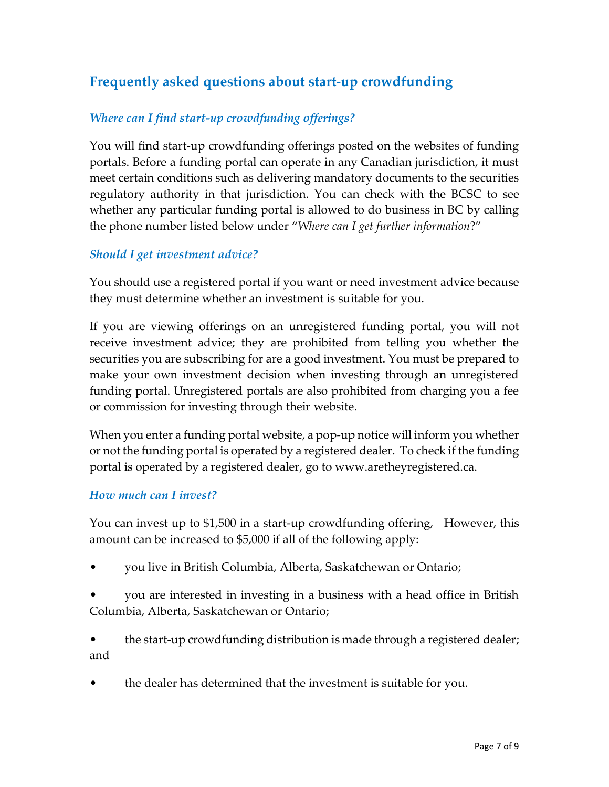# **Frequently asked questions about start-up crowdfunding**

#### *Where can I find start-up crowdfunding offerings?*

You will find start-up crowdfunding offerings posted on the websites of funding portals. Before a funding portal can operate in any Canadian jurisdiction, it must meet certain conditions such as delivering mandatory documents to the securities regulatory authority in that jurisdiction. You can check with the BCSC to see whether any particular funding portal is allowed to do business in BC by calling the phone number listed below under "*Where can I get further information*?"

#### *Should I get investment advice?*

You should use a registered portal if you want or need investment advice because they must determine whether an investment is suitable for you.

If you are viewing offerings on an unregistered funding portal, you will not receive investment advice; they are prohibited from telling you whether the securities you are subscribing for are a good investment. You must be prepared to make your own investment decision when investing through an unregistered funding portal. Unregistered portals are also prohibited from charging you a fee or commission for investing through their website.

When you enter a funding portal website, a pop-up notice will inform you whether or not the funding portal is operated by a registered dealer. To check if the funding portal is operated by a registered dealer, go to www.aretheyregistered.ca.

#### *How much can I invest?*

You can invest up to \$1,500 in a start-up crowdfunding offering, However, this amount can be increased to \$5,000 if all of the following apply:

- you live in British Columbia, Alberta, Saskatchewan or Ontario;
- you are interested in investing in a business with a head office in British Columbia, Alberta, Saskatchewan or Ontario;

• the start-up crowdfunding distribution is made through a registered dealer; and

• the dealer has determined that the investment is suitable for you.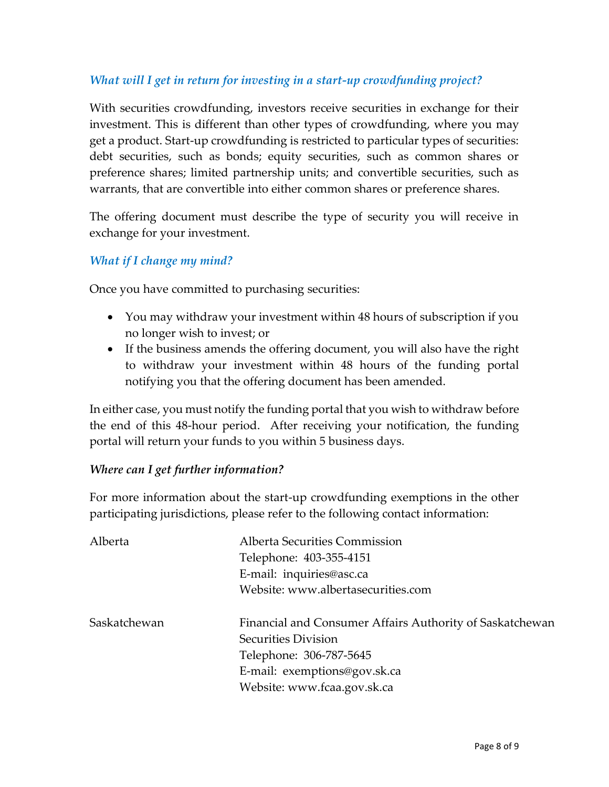#### *What will I get in return for investing in a start-up crowdfunding project?*

With securities crowdfunding, investors receive securities in exchange for their investment. This is different than other types of crowdfunding, where you may get a product. Start-up crowdfunding is restricted to particular types of securities: debt securities, such as bonds; equity securities, such as common shares or preference shares; limited partnership units; and convertible securities, such as warrants, that are convertible into either common shares or preference shares.

The offering document must describe the type of security you will receive in exchange for your investment.

#### *What if I change my mind?*

Once you have committed to purchasing securities:

- You may withdraw your investment within 48 hours of subscription if you no longer wish to invest; or
- If the business amends the offering document, you will also have the right to withdraw your investment within 48 hours of the funding portal notifying you that the offering document has been amended.

In either case, you must notify the funding portal that you wish to withdraw before the end of this 48-hour period. After receiving your notification, the funding portal will return your funds to you within 5 business days.

#### *Where can I get further information?*

For more information about the start-up crowdfunding exemptions in the other participating jurisdictions, please refer to the following contact information:

| Alberta      | <b>Alberta Securities Commission</b>                     |  |
|--------------|----------------------------------------------------------|--|
|              | Telephone: 403-355-4151                                  |  |
|              | E-mail: inquiries@asc.ca                                 |  |
|              | Website: www.albertasecurities.com                       |  |
| Saskatchewan | Financial and Consumer Affairs Authority of Saskatchewan |  |
|              | Securities Division                                      |  |
|              | Telephone: 306-787-5645                                  |  |
|              | E-mail: exemptions@gov.sk.ca                             |  |
|              | Website: www.fcaa.gov.sk.ca                              |  |
|              |                                                          |  |